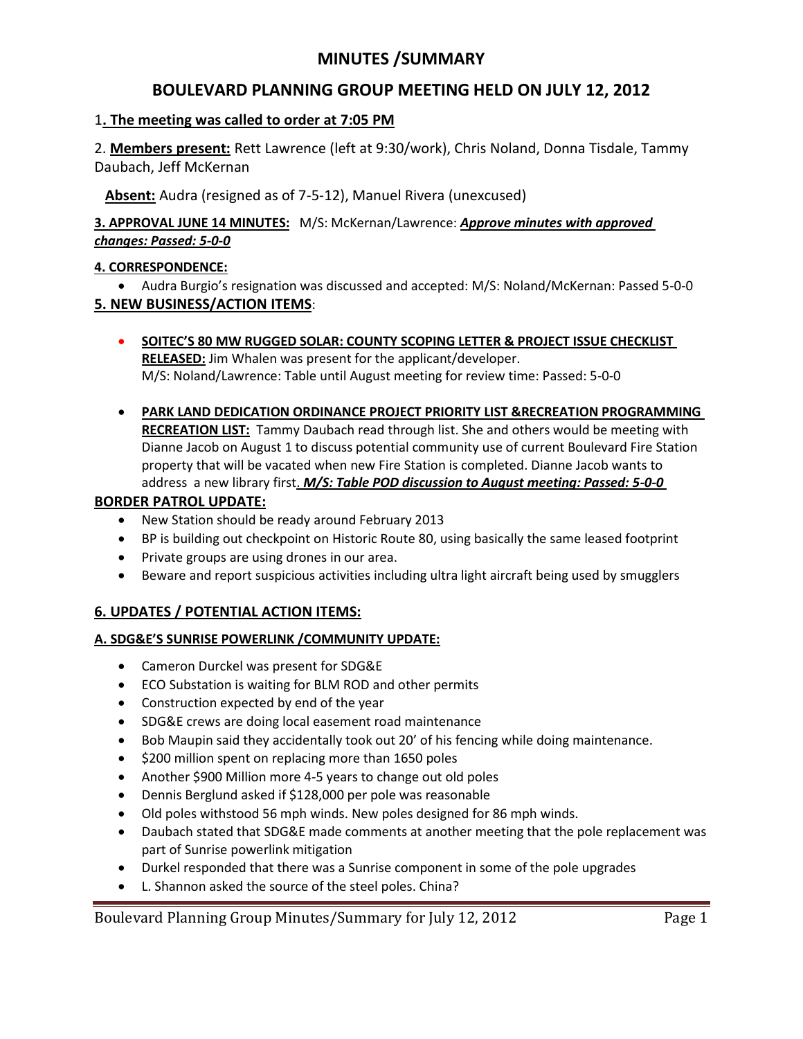# **MINUTES /SUMMARY**

# **BOULEVARD PLANNING GROUP MEETING HELD ON JULY 12, 2012**

## 1**. The meeting was called to order at 7:05 PM**

2. **Members present:** Rett Lawrence (left at 9:30/work), Chris Noland, Donna Tisdale, Tammy Daubach, Jeff McKernan

 **Absent:** Audra (resigned as of 7-5-12), Manuel Rivera (unexcused)

## **3. APPROVAL JUNE 14 MINUTES:** M/S: McKernan/Lawrence: *Approve minutes with approved changes: Passed: 5-0-0*

## **4. CORRESPONDENCE:**

- Audra Burgio's resignation was discussed and accepted: M/S: Noland/McKernan: Passed 5-0-0 **5. NEW BUSINESS/ACTION ITEMS**:
	- **SOITEC'S 80 MW RUGGED SOLAR: COUNTY SCOPING LETTER & PROJECT ISSUE CHECKLIST RELEASED:** Jim Whalen was present for the applicant/developer. M/S: Noland/Lawrence: Table until August meeting for review time: Passed: 5-0-0
	- **PARK LAND DEDICATION ORDINANCE PROJECT PRIORITY LIST &RECREATION PROGRAMMING RECREATION LIST:** Tammy Daubach read through list. She and others would be meeting with Dianne Jacob on August 1 to discuss potential community use of current Boulevard Fire Station property that will be vacated when new Fire Station is completed. Dianne Jacob wants to address a new library first. *M/S: Table POD discussion to August meeting: Passed: 5-0-0*

## **BORDER PATROL UPDATE:**

- New Station should be ready around February 2013
- BP is building out checkpoint on Historic Route 80, using basically the same leased footprint
- Private groups are using drones in our area.
- Beware and report suspicious activities including ultra light aircraft being used by smugglers

# **6. UPDATES / POTENTIAL ACTION ITEMS:**

## **A. SDG&E'S SUNRISE POWERLINK /COMMUNITY UPDATE:**

- Cameron Durckel was present for SDG&E
- ECO Substation is waiting for BLM ROD and other permits
- Construction expected by end of the year
- SDG&E crews are doing local easement road maintenance
- Bob Maupin said they accidentally took out 20' of his fencing while doing maintenance.
- $\bullet$  \$200 million spent on replacing more than 1650 poles
- Another \$900 Million more 4-5 years to change out old poles
- Dennis Berglund asked if \$128,000 per pole was reasonable
- Old poles withstood 56 mph winds. New poles designed for 86 mph winds.
- Daubach stated that SDG&E made comments at another meeting that the pole replacement was part of Sunrise powerlink mitigation
- Durkel responded that there was a Sunrise component in some of the pole upgrades
- L. Shannon asked the source of the steel poles. China?

Boulevard Planning Group Minutes/Summary for July 12, 2012 Page 1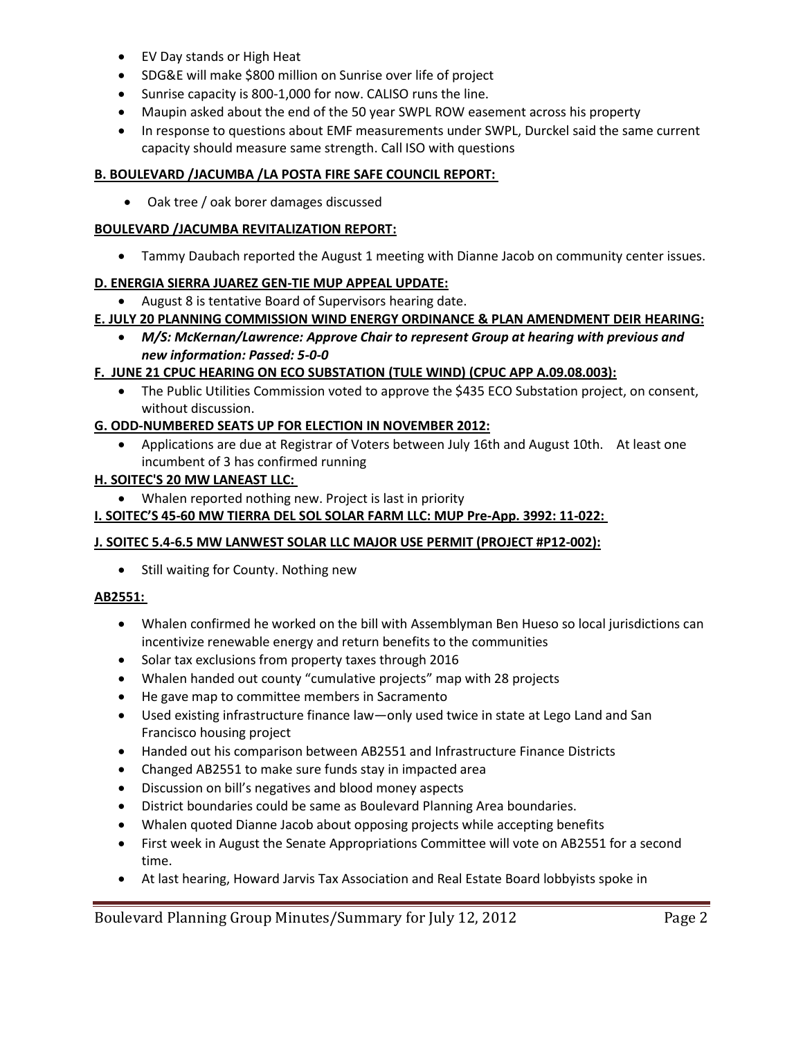- EV Day stands or High Heat
- SDG&E will make \$800 million on Sunrise over life of project
- Sunrise capacity is 800-1,000 for now. CALISO runs the line.
- Maupin asked about the end of the 50 year SWPL ROW easement across his property
- In response to questions about EMF measurements under SWPL, Durckel said the same current capacity should measure same strength. Call ISO with questions

## **B. BOULEVARD /JACUMBA /LA POSTA FIRE SAFE COUNCIL REPORT:**

Oak tree / oak borer damages discussed

#### **BOULEVARD /JACUMBA REVITALIZATION REPORT:**

Tammy Daubach reported the August 1 meeting with Dianne Jacob on community center issues.

#### **D. ENERGIA SIERRA JUAREZ GEN-TIE MUP APPEAL UPDATE:**

August 8 is tentative Board of Supervisors hearing date.

#### **E. JULY 20 PLANNING COMMISSION WIND ENERGY ORDINANCE & PLAN AMENDMENT DEIR HEARING:**

 *M/S: McKernan/Lawrence: Approve Chair to represent Group at hearing with previous and new information: Passed: 5-0-0* 

## **F. JUNE 21 CPUC HEARING ON ECO SUBSTATION (TULE WIND) (CPUC APP A.09.08.003):**

 The Public Utilities Commission voted to approve the \$435 ECO Substation project, on consent, without discussion.

## **G. ODD-NUMBERED SEATS UP FOR ELECTION IN NOVEMBER 2012:**

 Applications are due at Registrar of Voters between July 16th and August 10th. At least one incumbent of 3 has confirmed running

#### **H. SOITEC'S 20 MW LANEAST LLC:**

Whalen reported nothing new. Project is last in priority

### **I. SOITEC'S 45-60 MW TIERRA DEL SOL SOLAR FARM LLC: MUP Pre-App. 3992: 11-022:**

## **J. SOITEC 5.4-6.5 MW LANWEST SOLAR LLC MAJOR USE PERMIT (PROJECT #P12-002):**

• Still waiting for County. Nothing new

#### **AB2551:**

- Whalen confirmed he worked on the bill with Assemblyman Ben Hueso so local jurisdictions can incentivize renewable energy and return benefits to the communities
- Solar tax exclusions from property taxes through 2016
- Whalen handed out county "cumulative projects" map with 28 projects
- He gave map to committee members in Sacramento
- Used existing infrastructure finance law—only used twice in state at Lego Land and San Francisco housing project
- Handed out his comparison between AB2551 and Infrastructure Finance Districts
- Changed AB2551 to make sure funds stay in impacted area
- Discussion on bill's negatives and blood money aspects
- District boundaries could be same as Boulevard Planning Area boundaries.
- Whalen quoted Dianne Jacob about opposing projects while accepting benefits
- First week in August the Senate Appropriations Committee will vote on AB2551 for a second time.
- At last hearing, Howard Jarvis Tax Association and Real Estate Board lobbyists spoke in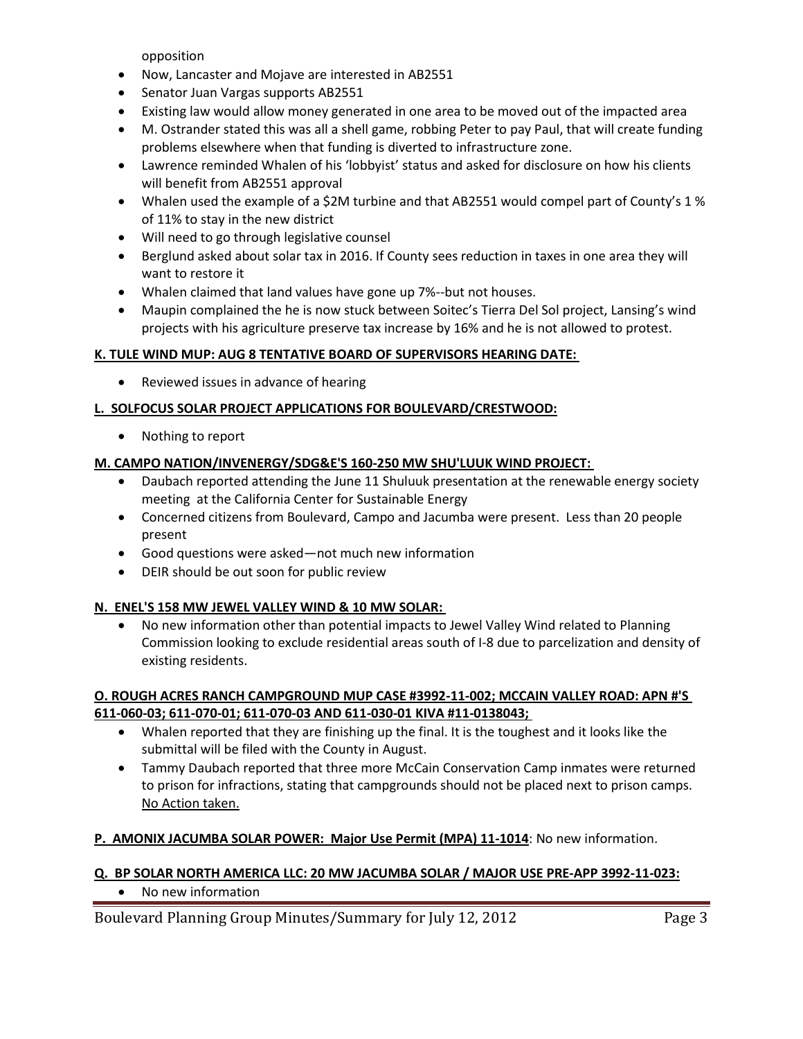opposition

- Now, Lancaster and Mojave are interested in AB2551
- Senator Juan Vargas supports AB2551
- Existing law would allow money generated in one area to be moved out of the impacted area
- M. Ostrander stated this was all a shell game, robbing Peter to pay Paul, that will create funding problems elsewhere when that funding is diverted to infrastructure zone.
- Lawrence reminded Whalen of his 'lobbyist' status and asked for disclosure on how his clients will benefit from AB2551 approval
- Whalen used the example of a \$2M turbine and that AB2551 would compel part of County's 1 % of 11% to stay in the new district
- Will need to go through legislative counsel
- Berglund asked about solar tax in 2016. If County sees reduction in taxes in one area they will want to restore it
- Whalen claimed that land values have gone up 7%--but not houses.
- Maupin complained the he is now stuck between Soitec's Tierra Del Sol project, Lansing's wind projects with his agriculture preserve tax increase by 16% and he is not allowed to protest.

## **K. TULE WIND MUP: AUG 8 TENTATIVE BOARD OF SUPERVISORS HEARING DATE:**

• Reviewed issues in advance of hearing

## **L. SOLFOCUS SOLAR PROJECT APPLICATIONS FOR BOULEVARD/CRESTWOOD:**

• Nothing to report

## **M. CAMPO NATION/INVENERGY/SDG&E'S 160-250 MW SHU'LUUK WIND PROJECT:**

- Daubach reported attending the June 11 Shuluuk presentation at the renewable energy society meeting at the California Center for Sustainable Energy
- Concerned citizens from Boulevard, Campo and Jacumba were present. Less than 20 people present
- Good questions were asked—not much new information
- DEIR should be out soon for public review

## **N. ENEL'S 158 MW JEWEL VALLEY WIND & 10 MW SOLAR:**

 No new information other than potential impacts to Jewel Valley Wind related to Planning Commission looking to exclude residential areas south of I-8 due to parcelization and density of existing residents.

## **O. ROUGH ACRES RANCH CAMPGROUND MUP CASE #3992-11-002; MCCAIN VALLEY ROAD: APN #'S 611-060-03; 611-070-01; 611-070-03 AND 611-030-01 KIVA #11-0138043;**

- Whalen reported that they are finishing up the final. It is the toughest and it looks like the submittal will be filed with the County in August.
- Tammy Daubach reported that three more McCain Conservation Camp inmates were returned to prison for infractions, stating that campgrounds should not be placed next to prison camps. No Action taken.

## **P. AMONIX JACUMBA SOLAR POWER: Major Use Permit (MPA) 11-1014**: No new information.

## **Q. BP SOLAR NORTH AMERICA LLC: 20 MW JACUMBA SOLAR / MAJOR USE PRE-APP 3992-11-023:**

• No new information

Boulevard Planning Group Minutes/Summary for July 12, 2012 Page 3